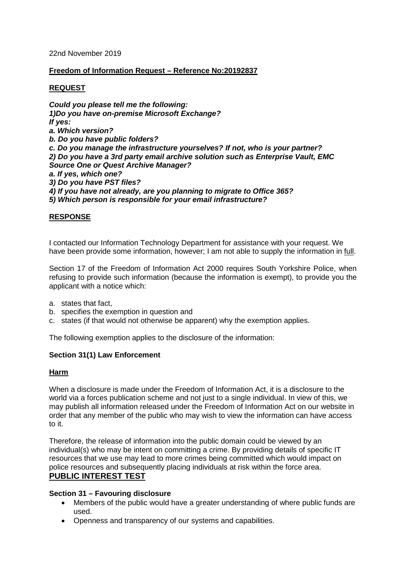#### 22nd November 2019

# **Freedom of Information Request – Reference No:20192837**

# **REQUEST**

*Could you please tell me the following: 1)Do you have on-premise Microsoft Exchange? If yes: a. Which version? b. Do you have public folders? c. Do you manage the infrastructure yourselves? If not, who is your partner? 2) Do you have a 3rd party email archive solution such as Enterprise Vault, EMC Source One or Quest Archive Manager? a. If yes, which one? 3) Do you have PST files? 4) If you have not already, are you planning to migrate to Office 365? 5) Which person is responsible for your email infrastructure?*

# **RESPONSE**

I contacted our Information Technology Department for assistance with your request. We have been provide some information, however; I am not able to supply the information in full.

Section 17 of the Freedom of Information Act 2000 requires South Yorkshire Police, when refusing to provide such information (because the information is exempt), to provide you the applicant with a notice which:

- a. states that fact,
- b. specifies the exemption in question and
- c. states (if that would not otherwise be apparent) why the exemption applies.

The following exemption applies to the disclosure of the information:

# **Section 31(1) Law Enforcement**

#### **Harm**

When a disclosure is made under the Freedom of Information Act, it is a disclosure to the world via a forces publication scheme and not just to a single individual. In view of this, we may publish all information released under the Freedom of Information Act on our website in order that any member of the public who may wish to view the information can have access to it.

Therefore, the release of information into the public domain could be viewed by an individual(s) who may be intent on committing a crime. By providing details of specific IT resources that we use may lead to more crimes being committed which would impact on police resources and subsequently placing individuals at risk within the force area. **PUBLIC INTEREST TEST**

#### **Section 31 – Favouring disclosure**

- Members of the public would have a greater understanding of where public funds are used.
- Openness and transparency of our systems and capabilities.